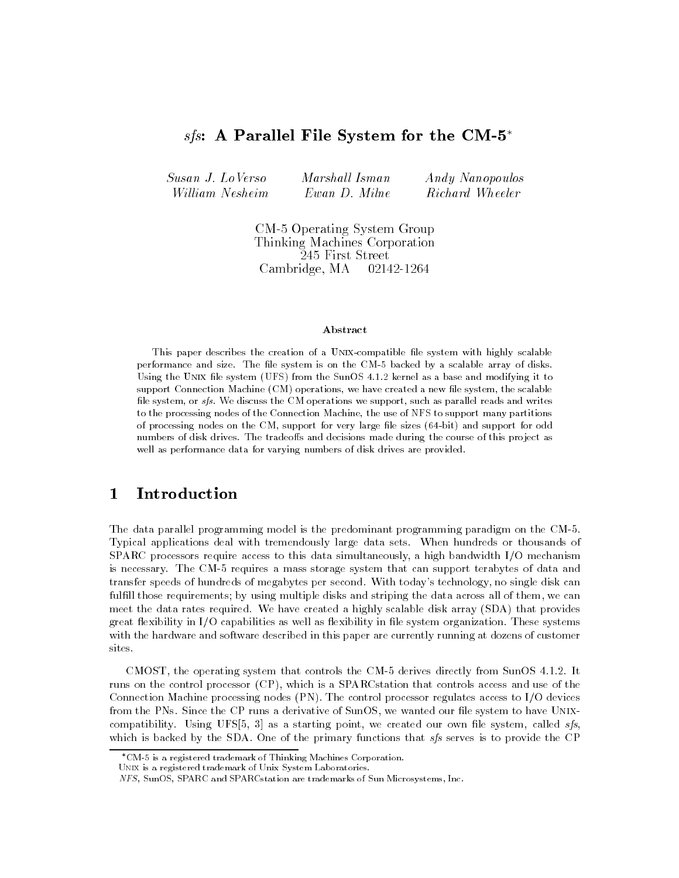# sfs: A Parallel File System for the CM-5<sup>\*</sup>

| Susan J. LoVerso | Marshall Isman | Andy Nanopoulos |
|------------------|----------------|-----------------|
| William Nesheim  | Ewan D. Milne  | Richard Wheeler |

CM-5 Operating System Group Thinking Machines Corporation 245 First Street Cambridge, MA 02142-1264

## Abstract

This paper describes the creation of a UNIX-compatible file system with highly scalable performance and size. The file system is on the CM-5 backed by a scalable array of disks. Using the Unix le system (UFS) from the SunOS 4.1.2 kernel as a base and modifying it to support Connection Machine (CM) operations, we have created a new file system, the scalable file system, or  $sfs$ . We discuss the CM operations we support, such as parallel reads and writes to the processing nodes of the Connection Machine, the use of NFS to support many partitions of processing nodes on the CM, support for very large le sizes (64-bit) and support for odd numbers of disk drives. The tradeoffs and decisions made during the course of this project as well as performance data for varying numbers of disk drives are provided.

### $\mathbf{1}$ **Introduction**

The data parallel programming model is the predominant programming paradigm on the CM-5. Typical applications deal with tremendously large data sets. When hundreds or thousands of SPARC processors require access to this data simultaneously, a high bandwidth I/O mechanism is necessary. The CM-5 requires a mass storage system that can support terabytes of data and transfer speeds of hundreds of megabytes per second. With today's technology, no single disk can fulfill those requirements; by using multiple disks and striping the data across all of them, we can meet the data rates required. We have created a highly scalable disk array (SDA) that provides great flexibility in I/O capabilities as well as flexibility in file system organization. These systems with the hardware and software described in this paper are currently running at dozens of customer sites.

CMOST, the operating system that controls the CM-5 derives directly from SunOS 4.1.2. It runs on the control processor (CP), which is a SPARCstation that controls access and use of the Connection Machine processing nodes (PN). The control processor regulates access to I/O devices from the PNs. Since the CP runs a derivative of SunOS, we wanted our file system to have UNIXcompatibility. Using UFS $[5, 3]$  as a starting point, we created our own file system, called  $sfs$ , which is backed by the SDA. One of the primary functions that  $sfs$  serves is to provide the CP

CM-5 is a registered trademark of Thinking Machines Corporation.

Unix is a registered trademark of Unix System Laboratories.

NFS, SunOS, SPARC and SPARCstation are trademarks of Sun Microsystems, Inc.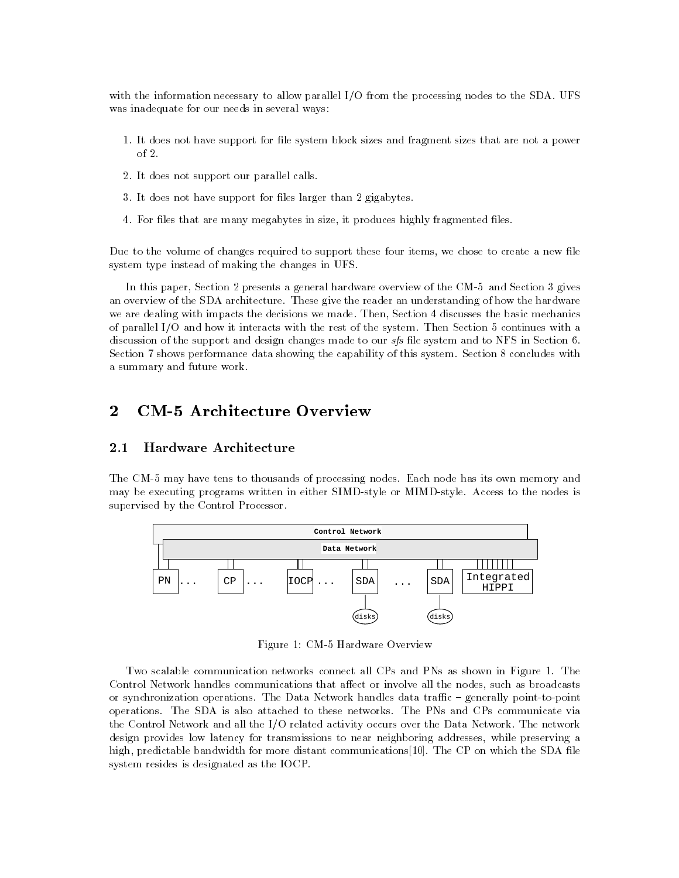with the information necessary to allow parallel I/O from the processing nodes to the SDA. UFS was inadequate for our needs in several ways:

- 1. It does not have support for file system block sizes and fragment sizes that are not a power of 2.
- 2. It does not support our parallel calls.
- 3. It does not have support for files larger than 2 gigabytes.
- 4. For files that are many megabytes in size, it produces highly fragmented files.

Due to the volume of changes required to support these four items, we chose to create a new file system type instead of making the changes in UFS.

In this paper, Section 2 presents a general hardware overview of the CM-5 and Section 3 gives an overview of the SDA architecture. These give the reader an understanding of how the hardware we are dealing with impacts the decisions we made. Then, Section 4 discusses the basic mechanics of parallel I/O and how it interacts with the rest of the system. Then Section 5 continues with a discussion of the support and design changes made to our sfs file system and to NFS in Section 6. Section 7 shows performance data showing the capability of this system. Section 8 concludes with a summary and future work.

# $\overline{2}$

#### Hardware Architecture 2.1

The CM-5 may have tens to thousands of processing nodes. Each node has its own memory and may be executing programs written in either SIMD-style or MIMD-style. Access to the nodes is supervised by the Control Processor.



Figure 1: CM-5 Hardware Overview

Two scalable communication networks connect all CPs and PNs as shown in Figure 1. The Control Network handles communications that affect or involve all the nodes, such as broadcasts or synchronization operations. The Data Network handles data traffic – generally point-to-point operations. The SDA is also attached to these networks. The PNs and CPs communicate via the Control Network and all the I/O related activity occurs over the Data Network. The network design provides low latency for transmissions to near neighboring addresses, while preserving a high, predictable bandwidth for more distant communications [10]. The CP on which the SDA file system resides is designated as the IOCP.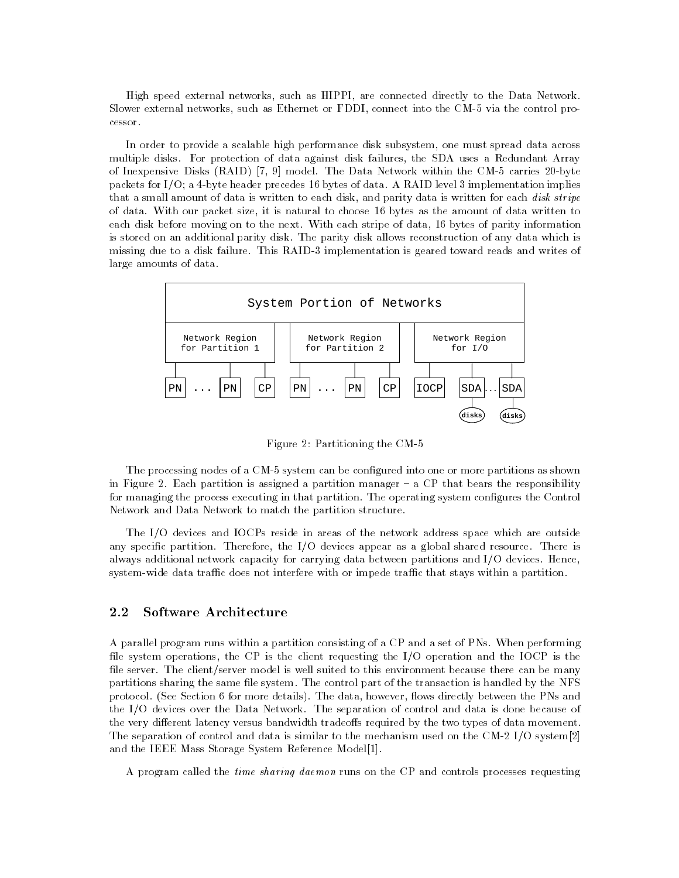High speed external networks, such as HIPPI, are connected directly to the Data Network. Slower external networks, such as Ethernet or FDDI, connect into the CM-5 via the control processor.

In order to provide a scalable high performance disk subsystem, one must spread data across multiple disks. For protection of data against disk failures, the SDA uses a Redundant Array of Inexpensive Disks (RAID) [7, 9] model. The Data Network within the CM-5 carries 20-byte packets for I/O; a 4-byte header precedes 16 bytes of data. A RAID level 3 implementation implies that a small amount of data is written to each disk, and parity data is written for each disk stripe of data. With our packet size, it is natural to choose 16 bytes as the amount of data written to each disk before moving on to the next. With each stripe of data, 16 bytes of parity information is stored on an additional parity disk. The parity disk allows reconstruction of any data which is missing due to a disk failure. This RAID-3 implementation is geared toward reads and writes of large amounts of data.



Figure 2: Partitioning the CM-5

The processing nodes of a CM-5 system can be configured into one or more partitions as shown in Figure 2. Each partition is assigned a partition manager  $-$  a CP that bears the responsibility for managing the process executing in that partition. The operating system configures the Control Network and Data Network to match the partition structure.

The I/O devices and IOCPs reside in areas of the network address space which are outside any specific partition. Therefore, the I/O devices appear as a global shared resource. There is always additional network capacity for carrying data between partitions and I/O devices. Hence, system-wide data traffic does not interfere with or impede traffic that stays within a partition.

# 2.2

A parallel program runs within a partition consisting of a CP and a set of PNs. When performing file system operations, the CP is the client requesting the  $I/O$  operation and the IOCP is the file server. The client/server model is well suited to this environment because there can be many partitions sharing the same file system. The control part of the transaction is handled by the NFS protocol. (See Section 6 for more details). The data, however, flows directly between the PNs and the I/O devices over the Data Network. The separation of control and data is done because of the very different latency versus bandwidth tradeoffs required by the two types of data movement. The separation of control and data is similar to the mechanism used on the CM-2 I/O system[2] and the IEEE Mass Storage System Reference Model[1].

A program called the time sharing daemon runs on the CP and controls processes requesting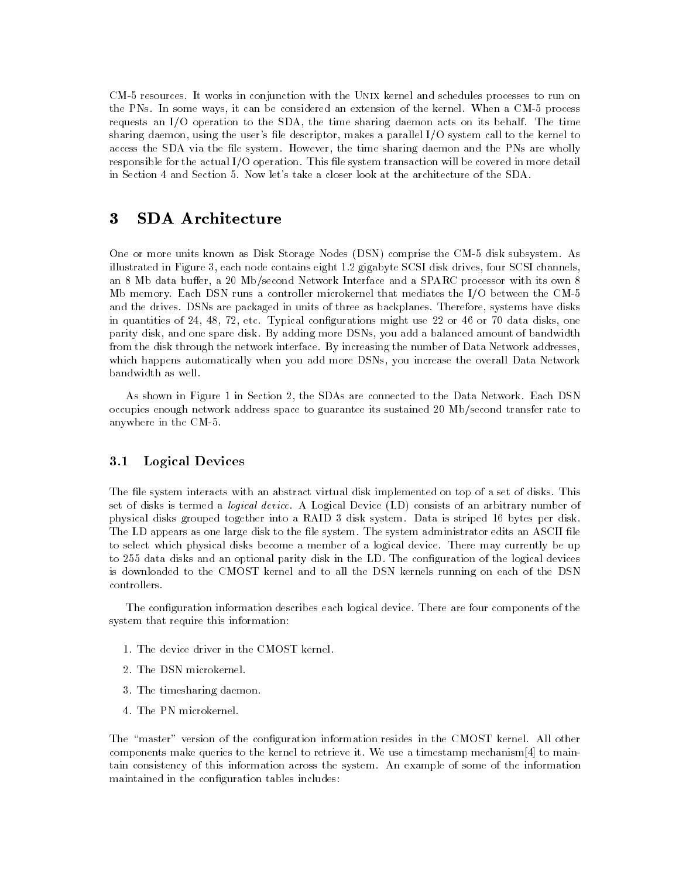CM-5 resources. It works in conjunction with the Unix kernel and schedules processes to run on the PNs. In some ways, it can be considered an extension of the kernel. When a CM-5 process requests an I/O operation to the SDA, the time sharing daemon acts on its behalf. The time sharing daemon, using the user's file descriptor, makes a parallel I/O system call to the kernel to access the SDA via the file system. However, the time sharing daemon and the PNs are wholly responsible for the actual I/O operation. This file system transaction will be covered in more detail in Section 4 and Section 5. Now let's take a closer look at the architecture of the SDA.

## $\bf{3}$ 3 SDA Architecture

One or more units known as Disk Storage Nodes (DSN) comprise the CM-5 disk subsystem. As illustrated in Figure 3, each node contains eight 1.2 gigabyte SCSI disk drives, four SCSI channels, an 8 Mb data buffer, a 20 Mb/second Network Interface and a SPARC processor with its own 8 Mb memory. Each DSN runs a controller microkernel that mediates the I/O between the CM-5 and the drives. DSNs are packaged in units of three as backplanes. Therefore, systems have disks in quantities of 24, 48, 72, etc. Typical configurations might use 22 or 46 or 70 data disks, one parity disk, and one spare disk. By adding more DSNs, you add a balanced amount of bandwidth from the disk through the network interface. By increasing the number of Data Network addresses, which happens automatically when you add more DSNs, you increase the overall Data Network bandwidth as well.

As shown in Figure 1 in Section 2, the SDAs are connected to the Data Network. Each DSN occupies enough network address space to guarantee its sustained 20 Mb/second transfer rate to anywhere in the CM-5.

# 3.1 Logical Devices

The file system interacts with an abstract virtual disk implemented on top of a set of disks. This set of disks is termed a logical device. A Logical Device (LD) consists of an arbitrary number of physical disks grouped together into a RAID 3 disk system. Data is striped 16 bytes per disk. The LD appears as one large disk to the file system. The system administrator edits an ASCII file to select which physical disks become a member of a logical device. There may currently be up to 255 data disks and an optional parity disk in the LD. The configuration of the logical devices is downloaded to the CMOST kernel and to all the DSN kernels running on each of the DSN controllers.

The configuration information describes each logical device. There are four components of the system that require this information:

- 1. The device driver in the CMOST kernel.
- 2. The DSN microkernel.
- 3. The timesharing daemon.
- 4. The PN microkernel.

The "master" version of the configuration information resides in the CMOST kernel. All other components make queries to the kernel to retrieve it. We use a timestamp mechanism[4] to maintain consistency of this information across the system. An example of some of the information maintained in the configuration tables includes: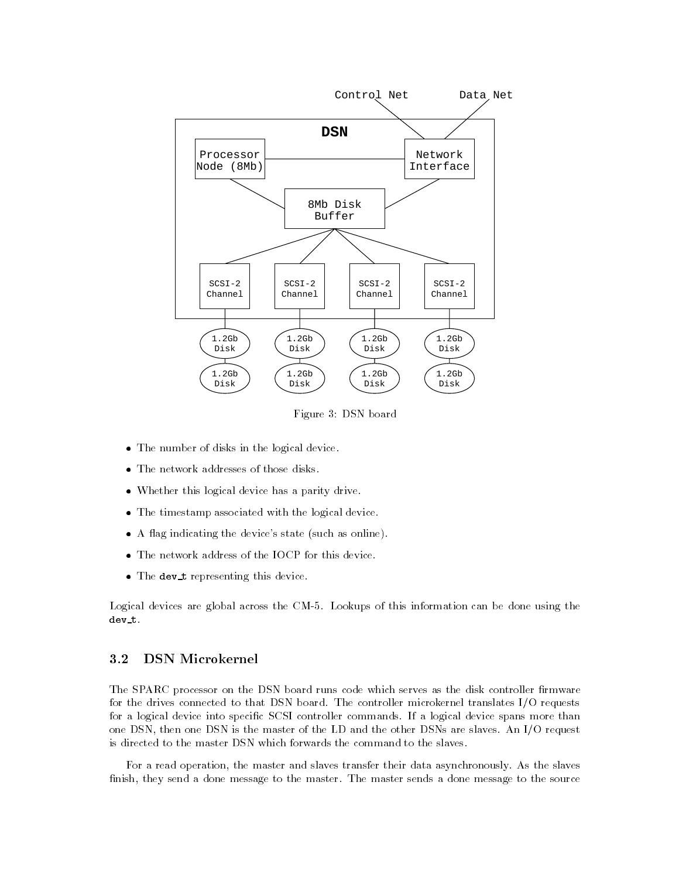

Figure 3: DSN board

- The number of disks in the logical device.
- The network addresses of those disks.
- Whether this logical device has a parity drive.
- The timestamp associated with the logical device.
- A 
ag indicating the device's state (such as online).
- The network address of the IOCP for this device.
- The dev\_t representing this device.

Logical devices are global across the CM-5. Lookups of this information can be done using the dev t.

# 3.2 DSN Microkernel

The SPARC processor on the DSN board runs code which serves as the disk controller firmware for the drives connected to that DSN board. The controller microkernel translates I/O requests for a logical device into specific SCSI controller commands. If a logical device spans more than one DSN, then one DSN is the master of the LD and the other DSNs are slaves. An I/O request is directed to the master DSN which forwards the command to the slaves.

For a read operation, the master and slaves transfer their data asynchronously. As the slaves finish, they send a done message to the master. The master sends a done message to the source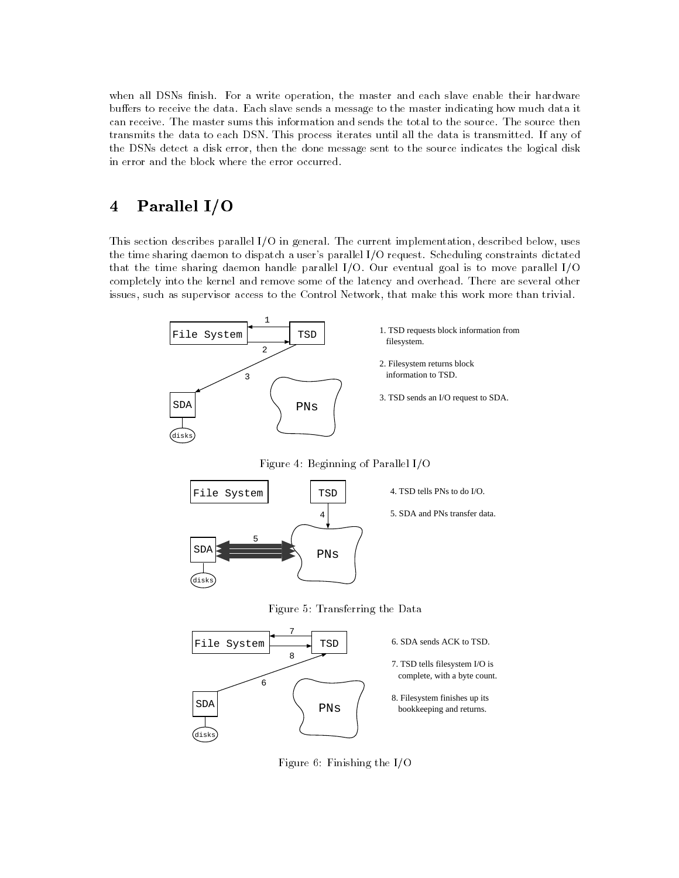when all DSNs finish. For a write operation, the master and each slave enable their hardware buffers to receive the data. Each slave sends a message to the master indicating how much data it can receive. The master sums this information and sends the total to the source. The source then transmits the data to each DSN. This process iterates until all the data is transmitted. If any of the DSNs detect a disk error, then the done message sent to the source indicates the logical disk in error and the block where the error occurred.

## Parallel I/O  $\overline{\mathbf{4}}$

This section describes parallel I/O in general. The current implementation, described below, uses the time sharing daemon to dispatch a user's parallel I/O request. Scheduling constraints dictated that the time sharing daemon handle parallel I/O. Our eventual goal is to move parallel I/O completely into the kernel and remove some of the latency and overhead. There are several other issues, such as supervisor access to the Control Network, that make this work more than trivial.



Figure 4: Beginning of Parallel I/O



Figure 5: Transferring the Data



Figure 6: Finishing the I/O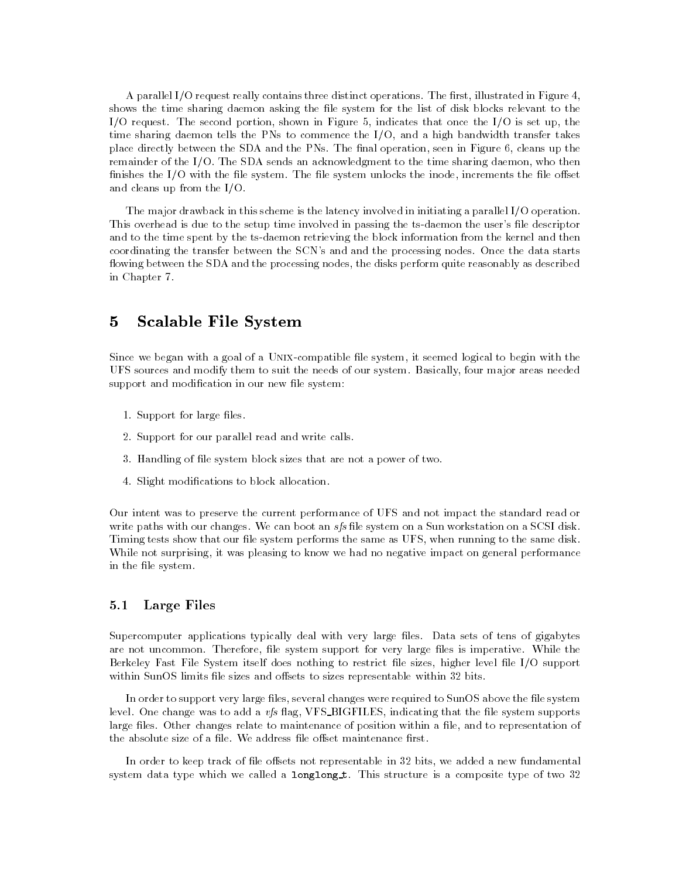A parallel I/O request really contains three distinct operations. The first, illustrated in Figure 4, shows the time sharing daemon asking the file system for the list of disk blocks relevant to the I/O request. The second portion, shown in Figure 5, indicates that once the I/O is set up, the time sharing daemon tells the PNs to commence the I/O, and a high bandwidth transfer takes place directly between the SDA and the PNs. The final operation, seen in Figure 6, cleans up the remainder of the I/O. The SDA sends an acknowledgment to the time sharing daemon, who then finishes the I/O with the file system. The file system unlocks the inode, increments the file offset and cleans up from the I/O.

The major drawback in this scheme is the latency involved in initiating a parallel I/O operation. This overhead is due to the setup time involved in passing the ts-daemon the user's file descriptor and to the time spent by the ts-daemon retrieving the block information from the kernel and then coordinating the transfer between the SCN's and and the processing nodes. Once the data starts flowing between the SDA and the processing nodes, the disks perform quite reasonably as described in Chapter 7.

## $\bf{5}$ 5 Scalable File System

Since we began with a goal of a UNIX-compatible file system, it seemed logical to begin with the UFS sources and modify them to suit the needs of our system. Basically, four major areas needed support and modification in our new file system:

- 1. Support for large files.
- 2. Support for our parallel read and write calls.
- 3. Handling of file system block sizes that are not a power of two.
- 4. Slight modications to block allocation.

Our intent was to preserve the current performance of UFS and not impact the standard read or write paths with our changes. We can boot an sfs file system on a Sun workstation on a SCSI disk. Timing tests show that our file system performs the same as UFS, when running to the same disk. While not surprising, it was pleasing to know we had no negative impact on general performance in the file system.

# 5.1 Large Files

Supercomputer applications typically deal with very large files. Data sets of tens of gigabytes are not uncommon. Therefore, file system support for very large files is imperative. While the Berkeley Fast File System itself does nothing to restrict file sizes, higher level file I/O support within SunOS limits file sizes and offsets to sizes representable within 32 bits.

In order to support very large files, several changes were required to SunOS above the file system level. One change was to add a vfs flag, VFS\_BIGFILES, indicating that the file system supports large files. Other changes relate to maintenance of position within a file, and to representation of the absolute size of a file. We address file offset maintenance first.

In order to keep track of file offsets not representable in 32 bits, we added a new fundamental system data type which we called a longlong t. This structure is a composite type of two 32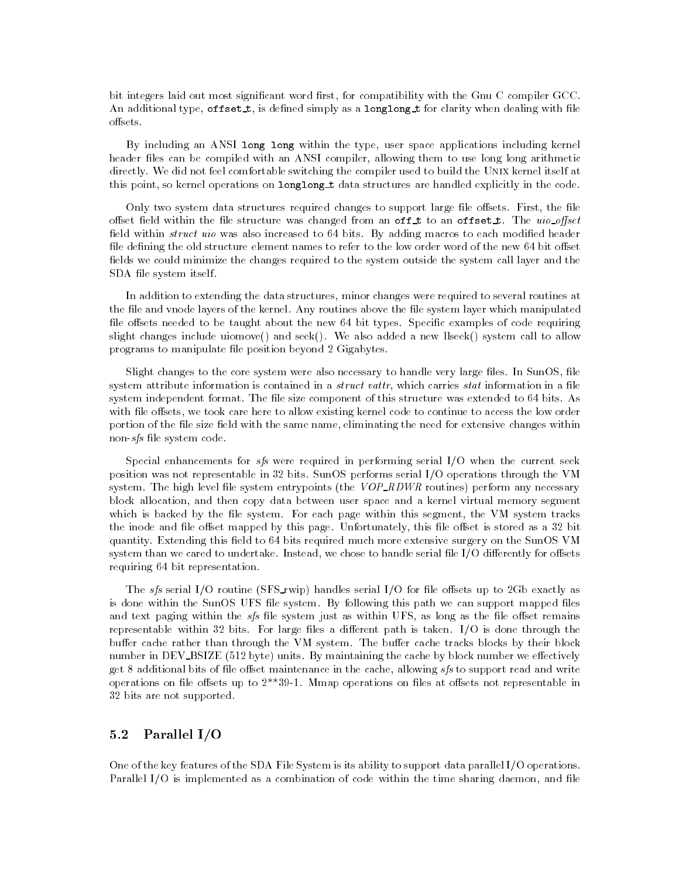bit integers laid out most significant word first, for compatibility with the Gnu C compiler GCC. An additional type, offset  $t$ , is defined simply as a longlong  $t$  for clarity when dealing with file offsets.

By including an ANSI long long within the type, user space applications including kernel header files can be compiled with an ANSI compiler, allowing them to use long long arithmetic directly. We did not feel comfortable switching the compiler used to build the Unix kernel itself at this point, so kernel operations on **longlong** t data structures are handled explicitly in the code.

Only two system data structures required changes to support large file offsets. First, the file offset field within the file structure was changed from an off-t to an offset-t. The  $uio$ -offset field within *struct uio* was also increased to  $64$  bits. By adding macros to each modified header file defining the old structure element names to refer to the low order word of the new 64 bit offset fields we could minimize the changes required to the system outside the system call layer and the SDA file system itself.

In addition to extending the data structures, minor changes were required to several routines at the file and vnode layers of the kernel. Any routines above the file system layer which manipulated file offsets needed to be taught about the new 64 bit types. Specific examples of code requiring slight changes include uiomove() and seek(). We also added a new llseek() system call to allow programs to manipulate file position beyond 2 Gigabytes.

Slight changes to the core system were also necessary to handle very large files. In SunOS, file system attribute information is contained in a *struct vattr*, which carries *stat* information in a file system independent format. The file size component of this structure was extended to 64 bits. As with file offsets, we took care here to allow existing kernel code to continue to access the low order portion of the file size field with the same name, eliminating the need for extensive changes within non-sfs file system code.

Special enhancements for  $sfs$  were required in performing serial I/O when the current seek position was not representable in 32 bits. SunOS performs serial I/O operations through the VM system. The high level file system entrypoints (the  $VOP$ -RDWR routines) perform any necessary block allocation, and then copy data between user space and a kernel virtual memory segment which is backed by the file system. For each page within this segment, the VM system tracks the inode and file offset mapped by this page. Unfortunately, this file offset is stored as a 32 bit quantity. Extending this field to 64 bits required much more extensive surgery on the SunOS VM system than we cared to undertake. Instead, we chose to handle serial file  $I/O$  differently for offsets requiring 64 bit representation.

The sfs serial I/O routine (SFS\_rwip) handles serial I/O for file offsets up to 2Gb exactly as is done within the SunOS UFS file system. By following this path we can support mapped files and text paging within the  $sfs$  file system just as within UFS, as long as the file offset remains representable within 32 bits. For large files a different path is taken. I/O is done through the buffer cache rather than through the VM system. The buffer cache tracks blocks by their block number in DEV\_BSIZE (512 byte) units. By maintaining the cache by block number we effectively get 8 additional bits of file offset maintenance in the cache, allowing  $sfs$  to support read and write operations on file offsets up to  $2^{**}39-1$ . Mmap operations on files at offsets not representable in 32 bits are not supported.

#### $5.2$ Parallel I/O

One of the key features of the SDA File System is its ability to support data parallel I/O operations. Parallel I/O is implemented as a combination of code within the time sharing daemon, and file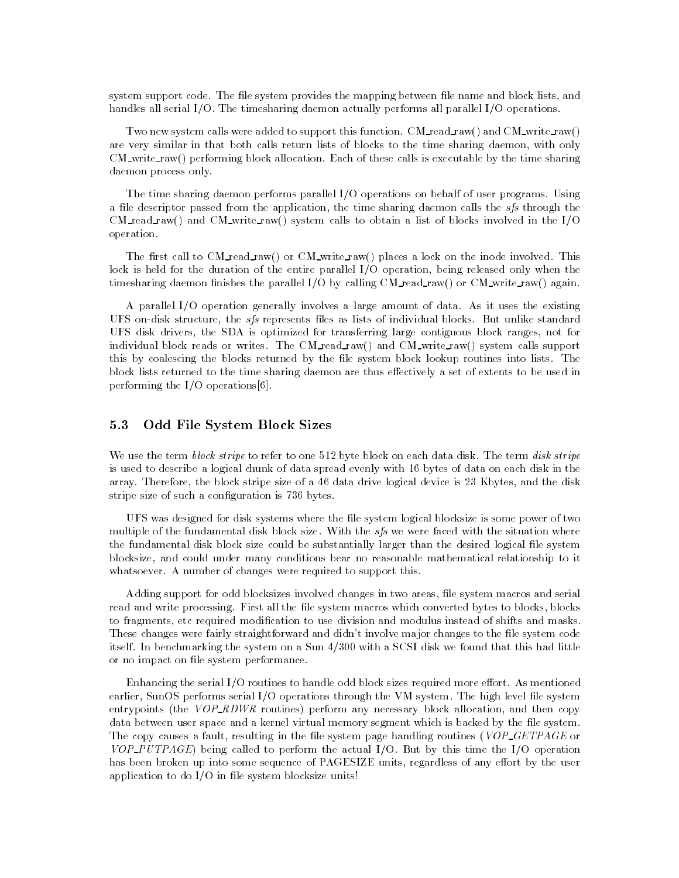system support code. The file system provides the mapping between file name and block lists, and handles all serial I/O. The timesharing daemon actually performs all parallel I/O operations.

Two new system calls were added to support this function. CM\_read\_raw() and CM\_write\_raw() are very similar in that both calls return lists of blocks to the time sharing daemon, with only CM\_write\_raw() performing block allocation. Each of these calls is executable by the time sharing daemon process only.

The time sharing daemon performs parallel I/O operations on behalf of user programs. Using a file descriptor passed from the application, the time sharing daemon calls the  $sfs$  through the CM read raw() and CM write raw() system calls to obtain a list of blocks involved in the  $I/O$ operation.

The first call to  $CM_{real\_raw}$  or  $CM_{write\_raw}$  places a lock on the inode involved. This lock is held for the duration of the entire parallel I/O operation, being released only when the timesharing daemon finishes the parallel I/O by calling  $CM_{real\_raw}$  or  $CM_{write\_raw}$  again.

A parallel I/O operation generally involves a large amount of data. As it uses the existing UFS on-disk structure, the *sfs* represents files as lists of individual blocks. But unlike standard UFS disk drivers, the SDA is optimized for transferring large contiguous block ranges, not for individual block reads or writes. The CM\_read\_raw() and CM\_write\_raw() system calls support this by coalescing the blocks returned by the file system block lookup routines into lists. The block lists returned to the time sharing daemon are thus effectively a set of extents to be used in performing the I/O operations[6].

#### 5.3 Odd File System Block Sizes  $5.3$

We use the term block stripe to refer to one 512 byte block on each data disk. The term disk stripe is used to describe a logical chunk of data spread evenly with 16 bytes of data on each disk in the array. Therefore, the block stripe size of a 46 data drive logical device is 23 Kbytes, and the disk stripe size of such a configuration is 736 bytes.

UFS was designed for disk systems where the le system logical blocksize is some power of two multiple of the fundamental disk block size. With the  $sfs$  we were faced with the situation where the fundamental disk block size could be substantially larger than the desired logical file system blocksize, and could under many conditions bear no reasonable mathematical relationship to it whatsoever. A number of changes were required to support this.

Adding support for odd blocksizes involved changes in two areas, file system macros and serial read and write processing. First all the file system macros which converted bytes to blocks, blocks to fragments, etc required modication to use division and modulus instead of shifts and masks. These changes were fairly straightforward and didn't involve major changes to the file system code itself. In benchmarking the system on a Sun 4/300 with a SCSI disk we found that this had little or no impact on file system performance.

Enhancing the serial I/O routines to handle odd block sizes required more effort. As mentioned earlier, SunOS performs serial I/O operations through the VM system. The high level file system entrypoints (the  $VOP$ -RDWR routines) perform any necessary block allocation, and then copy data between user space and a kernel virtual memory segment which is backed by the file system. The copy causes a fault, resulting in the file system page handling routines (VOP\_GETPAGE or  $VOP$ -PUTPAGE) being called to perform the actual I/O. But by this time the I/O operation has been broken up into some sequence of PAGESIZE units, regardless of any effort by the user application to do  $I/O$  in file system blocksize units!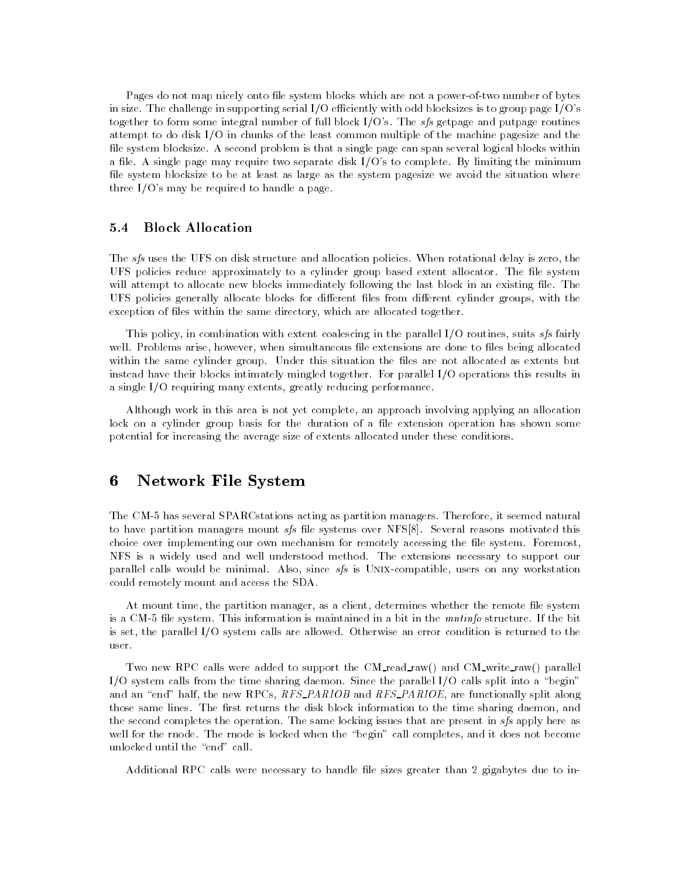Pages do not map nicely onto file system blocks which are not a power-of-two number of bytes in size. The challenge in supporting serial I/O efficiently with odd blocksizes is to group page  $I/O$ 's together to form some integral number of full block I/O's. The sfs getpage and putpage routines attempt to do disk I/O in chunks of the least common multiple of the machine pagesize and the file system blocksize. A second problem is that a single page can span several logical blocks within a file. A single page may require two separate disk  $I/O$ 's to complete. By limiting the minimum file system blocksize to be at least as large as the system pagesize we avoid the situation where three I/O's may be required to handle a page.

#### $5.4$ **Block Allocation**

The sfs uses the UFS on disk structure and allocation policies. When rotational delay is zero, the UFS policies reduce approximately to a cylinder group based extent allocator. The le system will attempt to allocate new blocks immediately following the last block in an existing file. The UFS policies generally allocate blocks for different files from different cylinder groups, with the exception of files within the same directory, which are allocated together.

This policy, in combination with extent coalescing in the parallel  $I/O$  routines, suits sfs fairly well. Problems arise, however, when simultaneous file extensions are done to files being allocated within the same cylinder group. Under this situation the files are not allocated as extents but instead have their blocks intimately mingled together. For parallel I/O operations this results in a single I/O requiring many extents, greatly reducing performance.

Although work in this area is not yet complete, an approach involving applying an allocation lock on a cylinder group basis for the duration of a file extension operation has shown some potential for increasing the average size of extents allocated under these conditions.

# 6 Network File System

The CM-5 has several SPARCstations acting as partition managers. Therefore, it seemed natural to have partition managers mount  $sfs$  file systems over NFS[8]. Several reasons motivated this choice over implementing our own mechanism for remotely accessing the file system. Foremost, NFS is a widely used and well understood method. The extensions necessary to support our parallel calls would be minimal. Also, since sfs is UNIX-compatible, users on any workstation could remotely mount and access the SDA.

At mount time, the partition manager, as a client, determines whether the remote file system is a CM-5 file system. This information is maintained in a bit in the mntinfo structure. If the bit is set, the parallel I/O system calls are allowed. Otherwise an error condition is returned to the user.

Two new RPC calls were added to support the CM\_read\_raw() and CM\_write\_raw() parallel I/O system calls from the time sharing daemon. Since the parallel I/O calls split into a "begin" and an "end" half, the new RPCs,  $RFS\_PARIOB$  and  $RFS\_PARIOE$ , are functionally split along those same lines. The first returns the disk block information to the time sharing daemon, and the second completes the operation. The same locking issues that are present in sfs apply here as well for the rnode. The rnode is locked when the "begin" call completes, and it does not become unlocked until the "end" call.

Additional RPC calls were necessary to handle file sizes greater than 2 gigabytes due to in-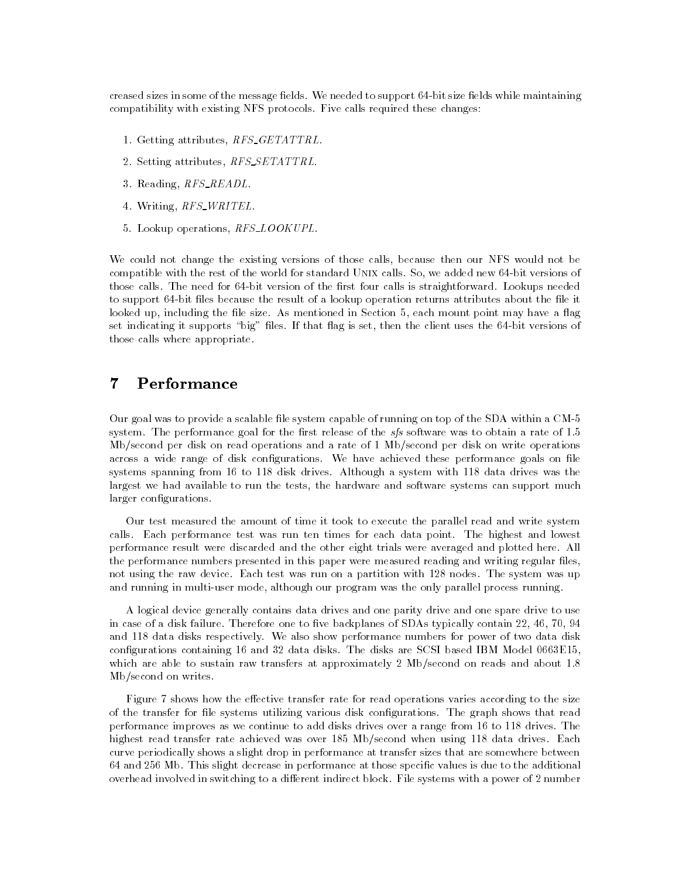creased sizes in some of the message fields. We needed to support 64-bit size fields while maintaining compatibility with existing NFS protocols. Five calls required these changes:

- 1. Getting attributes, RFS\_GETATTRL.
- 2. Setting attributes, RFS\_SETATTRL.
- 3. Reading, RFS\_READL.
- 4. Writing, RFS\_WRITEL.
- 5. Lookup operations, RFS\_LOOKUPL.

We could not change the existing versions of those calls, because then our NFS would not be compatible with the rest of the world for standard Unix calls. So, we added new 64-bit versions of those calls. The need for 64-bit version of the first four calls is straightforward. Lookups needed to support 64-bit files because the result of a lookup operation returns attributes about the file it looked up, including the file size. As mentioned in Section 5, each mount point may have a flag set indicating it supports "big" files. If that flag is set, then the client uses the 64-bit versions of those calls where appropriate.

## $\overline{7}$ **Performance**

Our goal was to provide a scalable file system capable of running on top of the SDA within a CM-5 system. The performance goal for the first release of the  $sfs$  software was to obtain a rate of 1.5 Mb/second per disk on read operations and a rate of 1 Mb/second per disk on write operations across a wide range of disk configurations. We have achieved these performance goals on file systems spanning from 16 to 118 disk drives. Although a system with 118 data drives was the largest we had available to run the tests, the hardware and software systems can support much larger configurations.

Our test measured the amount of time it took to execute the parallel read and write system calls. Each performance test was run ten times for each data point. The highest and lowest performance result were discarded and the other eight trials were averaged and plotted here. All the performance numbers presented in this paper were measured reading and writing regular files, not using the raw device. Each test was run on a partition with 128 nodes. The system was up and running in multi-user mode, although our program was the only parallel process running.

A logical device generally contains data drives and one parity drive and one spare drive to use in case of a disk failure. Therefore one to five backplanes of SDAs typically contain  $22, 46, 70, 94$ and 118 data disks respectively. We also show performance numbers for power of two data disk configurations containing 16 and 32 data disks. The disks are SCSI based IBM Model 0663E15, which are able to sustain raw transfers at approximately 2 Mb/second on reads and about 1.8 Mb/second on writes.

Figure 7 shows how the effective transfer rate for read operations varies according to the size of the transfer for file systems utilizing various disk configurations. The graph shows that read performance improves as we continue to add disks drives over a range from 16 to 118 drives. The highest read transfer rate achieved was over 185 Mb/second when using 118 data drives. Each curve periodically shows a slight drop in performance at transfer sizes that are somewhere between 64 and 256 Mb. This slight decrease in performance at those specic values is due to the additional overhead involved in switching to a different indirect block. File systems with a power of 2 number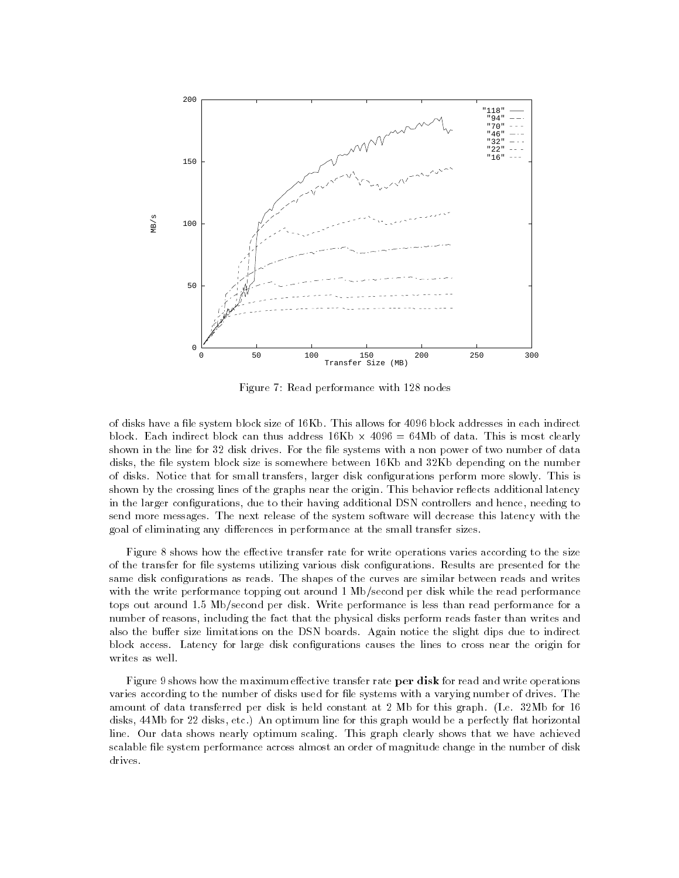

Figure 7: Read performance with 128 nodes

of disks have a file system block size of 16Kb. This allows for 4096 block addresses in each indirect block. Each indirect block can thus address 16Kb - 66Kb - 64Mb of data. This most can the second control. shown in the line for 32 disk drives. For the file systems with a non power of two number of data disks, the file system block size is somewhere between 16Kb and 32Kb depending on the number of disks. Notice that for small transfers, larger disk congurations perform more slowly. This is shown by the crossing lines of the graphs near the origin. This behavior reflects additional latency in the larger congurations, due to their having additional DSN controllers and hence, needing to send more messages. The next release of the system software will decrease this latency with the goal of eliminating any differences in performance at the small transfer sizes.

Figure 8 shows how the effective transfer rate for write operations varies according to the size of the transfer for file systems utilizing various disk configurations. Results are presented for the same disk configurations as reads. The shapes of the curves are similar between reads and writes with the write performance topping out around 1 Mb/second per disk while the read performance tops out around 1.5 Mb/second per disk. Write performance is less than read performance for a number of reasons, including the fact that the physical disks perform reads faster than writes and also the buffer size limitations on the DSN boards. Again notice the slight dips due to indirect block access. Latency for large disk congurations causes the lines to cross near the origin for writes as well.

Figure 9 shows how the maximum effective transfer rate per disk for read and write operations varies according to the number of disks used for file systems with a varying number of drives. The amount of data transferred per disk is held constant at 2 Mb for this graph. (I.e. 32Mb for 16 disks, 44Mb for 22 disks, etc.) An optimum line for this graph would be a perfectly flat horizontal line. Our data shows nearly optimum scaling. This graph clearly shows that we have achieved scalable file system performance across almost an order of magnitude change in the number of disk drives.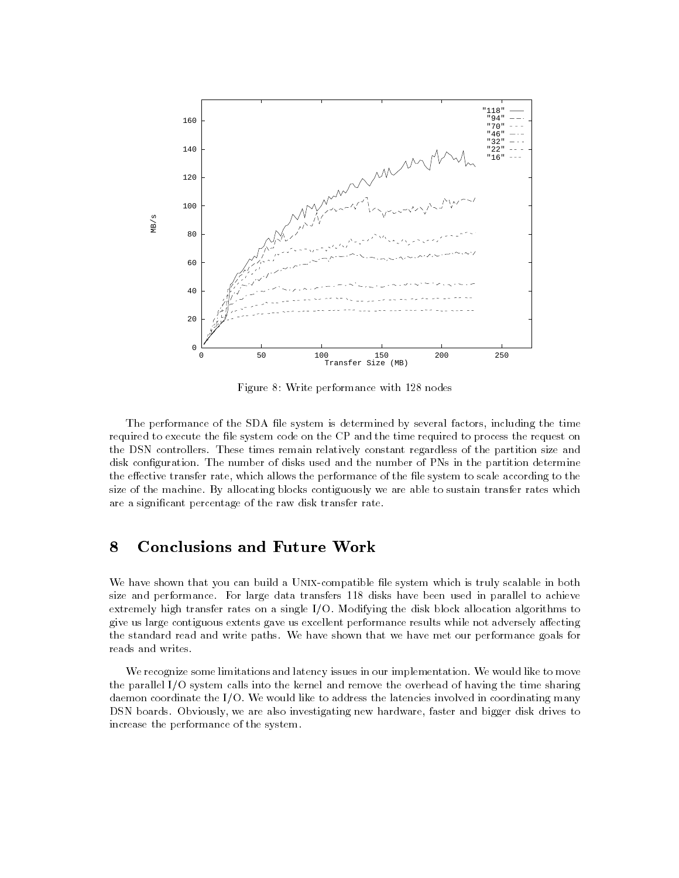

Figure 8: Write performance with 128 nodes

The performance of the SDA file system is determined by several factors, including the time required to execute the file system code on the CP and the time required to process the request on the DSN controllers. These times remain relatively constant regardless of the partition size and disk configuration. The number of disks used and the number of PNs in the partition determine the effective transfer rate, which allows the performance of the file system to scale according to the size of the machine. By allocating blocks contiguously we are able to sustain transfer rates which are a signicant percentage of the raw disk transfer rate.

# 8 Conclusions and Future Work

We have shown that you can build a UNIX-compatible file system which is truly scalable in both size and performance. For large data transfers 118 disks have been used in parallel to achieve extremely high transfer rates on a single I/O. Modifying the disk block allocation algorithms to give us large contiguous extents gave us excellent performance results while not adversely affecting the standard read and write paths. We have shown that we have met our performance goals for reads and writes.

We recognize some limitations and latency issues in our implementation. We would like to move the parallel I/O system calls into the kernel and remove the overhead of having the time sharing daemon coordinate the I/O. We would like to address the latencies involved in coordinating many DSN boards. Obviously, we are also investigating new hardware, faster and bigger disk drives to increase the performance of the system.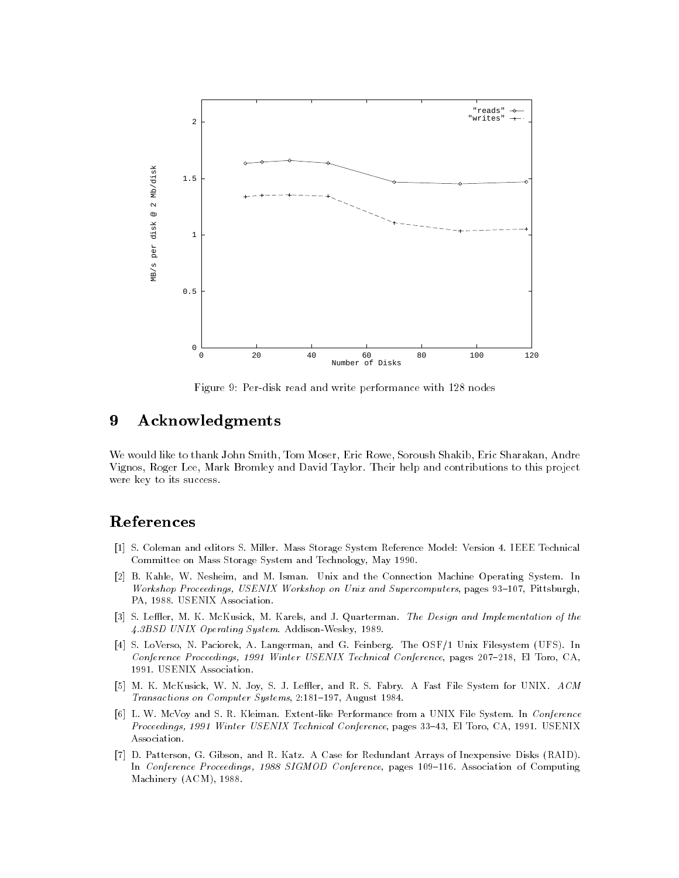

Figure 9: Per-disk read and write performance with 128 nodes

## 9 9 Acknowledgments

We would like to thank John Smith, Tom Moser, Eric Rowe, Soroush Shakib, Eric Sharakan, Andre Vignos, Roger Lee, Mark Bromley and David Taylor. Their help and contributions to this project were key to its success.

# References

- [1] S. Coleman and editors S. Miller. Mass Storage System Reference Model: Version 4. IEEE Technical Committee on Mass Storage System and Technology, May 1990.
- [2] B. Kahle, W. Nesheim, and M. Isman. Unix and the Connection Machine Operating System. In Workshop Proceedings, USENIX Workshop on Unix and Supercomputers, pages 93-107, Pittsburgh, PA, 1988. USENIX Association.
- [3] S. Leffler, M. K. McKusick, M. Karels, and J. Quarterman. The Design and Implementation of the 4.3BSD UNIX Operating System. Addison-Wesley, 1989.
- [4] S. LoVerso, N. Paciorek, A. Langerman, and G. Feinberg. The OSF/1 Unix Filesystem (UFS). In Conference Proceedings, 1991 Winter USENIX Technical Conference, pages 207-218, El Toro, CA, 1991. USENIX Association.
- [5] M. K. McKusick, W. N. Joy, S. J. Leffler, and R. S. Fabry. A Fast File System for UNIX. ACM Transactions on Computer Systems, 2:181-197, August 1984.
- [6] L. W. McVoy and S. R. Kleiman. Extent-like Performance from a UNIX File System. In Conference Proceedings, 1991 Winter USENIX Technical Conference, pages 33-43, El Toro, CA, 1991. USENIX Association.
- [7] D. Patterson, G. Gibson, and R. Katz. A Case for Redundant Arrays of Inexpensive Disks (RAID). In Conference Proceedings, 1988 SIGMOD Conference, pages 109-116. Association of Computing Machinery (ACM), 1988.